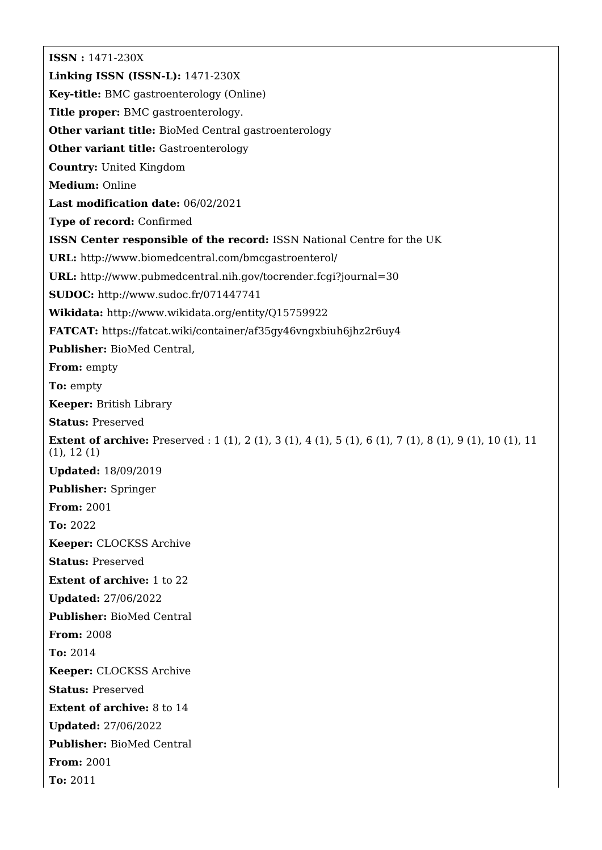**ISSN :** 1471-230X **Linking ISSN (ISSN-L):** 1471-230X **Key-title:** BMC gastroenterology (Online) **Title proper:** BMC gastroenterology. **Other variant title:** BioMed Central gastroenterology **Other variant title:** Gastroenterology **Country:** United Kingdom **Medium:** Online **Last modification date:** 06/02/2021 **Type of record:** Confirmed **ISSN Center responsible of the record:** ISSN National Centre for the UK **URL:** <http://www.biomedcentral.com/bmcgastroenterol/> **URL:** <http://www.pubmedcentral.nih.gov/tocrender.fcgi?journal=30> **SUDOC:** <http://www.sudoc.fr/071447741> **Wikidata:** <http://www.wikidata.org/entity/Q15759922> **FATCAT:** <https://fatcat.wiki/container/af35gy46vngxbiuh6jhz2r6uy4> **Publisher:** BioMed Central, **From:** empty **To:** empty **Keeper:** British Library **Status:** Preserved **Extent of archive:** Preserved : 1 (1), 2 (1), 3 (1), 4 (1), 5 (1), 6 (1), 7 (1), 8 (1), 9 (1), 10 (1), 11 (1), 12 (1) **Updated:** 18/09/2019 **Publisher:** Springer **From:** 2001 **To:** 2022 **Keeper:** CLOCKSS Archive **Status:** Preserved **Extent of archive:** 1 to 22 **Updated:** 27/06/2022 **Publisher:** BioMed Central **From:** 2008 **To:** 2014 **Keeper:** CLOCKSS Archive **Status:** Preserved **Extent of archive:** 8 to 14 **Updated:** 27/06/2022 **Publisher:** BioMed Central **From:** 2001 **To:** 2011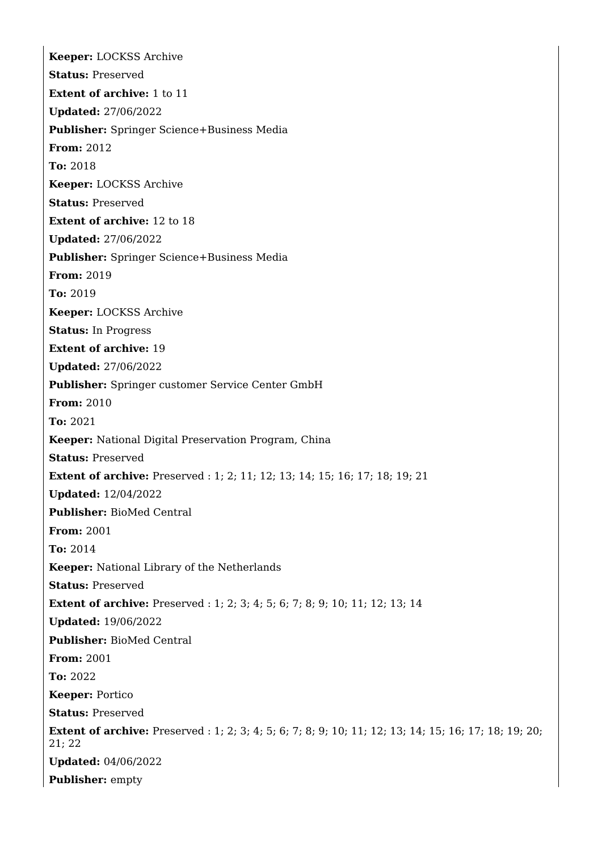**Keeper:** LOCKSS Archive **Status:** Preserved **Extent of archive:** 1 to 11 **Updated:** 27/06/2022 **Publisher:** Springer Science+Business Media **From:** 2012 **To:** 2018 **Keeper:** LOCKSS Archive **Status:** Preserved **Extent of archive:** 12 to 18 **Updated:** 27/06/2022 **Publisher:** Springer Science+Business Media **From:** 2019 **To:** 2019 **Keeper:** LOCKSS Archive **Status:** In Progress **Extent of archive:** 19 **Updated:** 27/06/2022 **Publisher:** Springer customer Service Center GmbH **From:** 2010 **To:** 2021 **Keeper:** National Digital Preservation Program, China **Status:** Preserved **Extent of archive:** Preserved : 1; 2; 11; 12; 13; 14; 15; 16; 17; 18; 19; 21 **Updated:** 12/04/2022 **Publisher:** BioMed Central **From:** 2001 **To:** 2014 **Keeper:** National Library of the Netherlands **Status:** Preserved **Extent of archive:** Preserved : 1; 2; 3; 4; 5; 6; 7; 8; 9; 10; 11; 12; 13; 14 **Updated:** 19/06/2022 **Publisher:** BioMed Central **From:** 2001 **To:** 2022 **Keeper:** Portico **Status:** Preserved **Extent of archive:** Preserved : 1; 2; 3; 4; 5; 6; 7; 8; 9; 10; 11; 12; 13; 14; 15; 16; 17; 18; 19; 20; 21; 22 **Updated:** 04/06/2022 **Publisher:** empty